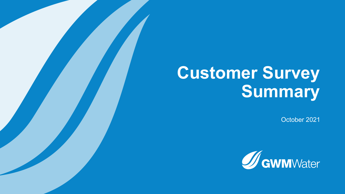# **Customer Survey Summary**

October 2021

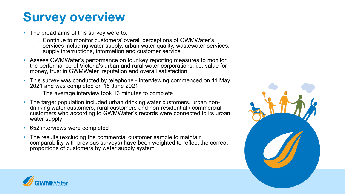### **Survey overview**

- The broad aims of this survey were to:
	- o Continue to monitor customers' overall perceptions of GWMWater's services including water supply, urban water quality, wastewater services, supply interruptions, information and customer service
- Assess GWMWater's performance on four key reporting measures to monitor the performance of Victoria's urban and rural water corporations, i.e. value for money, trust in GWMWater, reputation and overall satisfaction
- This survey was conducted by telephone interviewing commenced on 11 May 2021 and was completed on 15 June 2021
	- o The average interview took 13 minutes to complete
- The target population included urban drinking water customers, urban non- drinking water customers, rural customers and non-residential / commercial customers who according to GWMWater's records were connected to its urban water supply
- 652 interviews were completed
- The results (excluding the commercial customer sample to maintain comparability with previous surveys) have been weighted to reflect the correct proportions of customers by water supply system



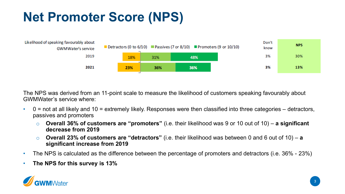## **Net Promoter Score (NPS)**



The NPS was derived from an 11-point scale to measure the likelihood of customers speaking favourably about GWMWater's service where:

- $\cdot$  0 = not at all likely and 10 = extremely likely. Responses were then classified into three categories detractors, passives and promoters
	- o **Overall 36% of customers are "promoters"** (i.e. their likelihood was 9 or 10 out of 10) **a significant decrease from 2019**
	- **Overall 23% of customers are "detractors"** (i.e. their likelihood was between 0 and 6 out of 10) a **significant increase from 2019**
- The NPS is calculated as the difference between the percentage of promoters and detractors (i.e. 36% 23%)
- **The NPS for this survey is 13%**

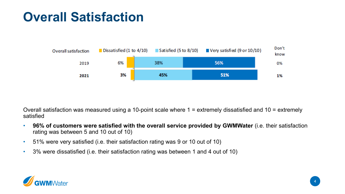#### **Overall Satisfaction**



Overall satisfaction was measured using a 10-point scale where 1 = extremely dissatisfied and 10 = extremely satisfied

- **96% of customers were satisfied with the overall service provided by GWMWater** (i.e. their satisfaction rating was between 5 and 10 out of 10)
- 51% were very satisfied (i.e. their satisfaction rating was 9 or 10 out of 10)
- 3% were dissatisfied (i.e. their satisfaction rating was between 1 and 4 out of 10)

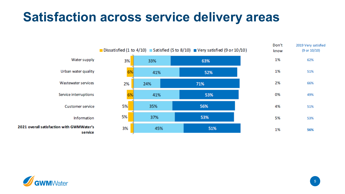#### **Satisfaction across service delivery areas**



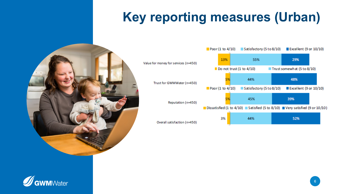# **Key reporting measures (Urban)**





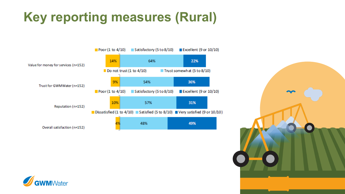## **Key reporting measures (Rural)**





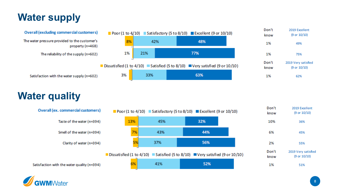#### **Water supply**



#### **Water quality**



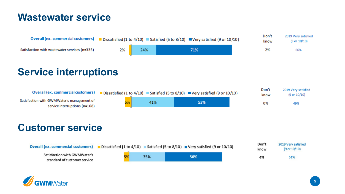#### **Wastewater service**



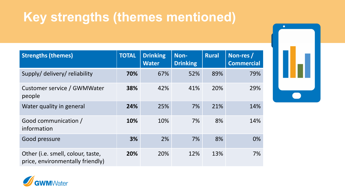#### **Key strengths (themes mentioned)**

| <b>Strengths (themes)</b>                                             | <b>TOTAL</b> | <b>Drinking</b><br><b>Water</b> | Non-<br><b>Drinking</b> | <b>Rural</b> | Non-res /<br><b>Commercial</b> |
|-----------------------------------------------------------------------|--------------|---------------------------------|-------------------------|--------------|--------------------------------|
| Supply/ delivery/ reliability                                         | 70%          | 67%                             | 52%                     | 89%          | 79%                            |
| Customer service / GWMWater<br>people                                 | 38%          | 42%                             | 41%                     | 20%          | 29%                            |
| Water quality in general                                              | 24%          | 25%                             | 7%                      | 21%          | 14%                            |
| Good communication /<br>information                                   | 10%          | 10%                             | 7%                      | 8%           | 14%                            |
| Good pressure                                                         | 3%           | 2%                              | 7%                      | 8%           | 0%                             |
| Other (i.e. smell, colour, taste,<br>price, environmentally friendly) | 20%          | 20%                             | 12%                     | 13%          | 7%                             |